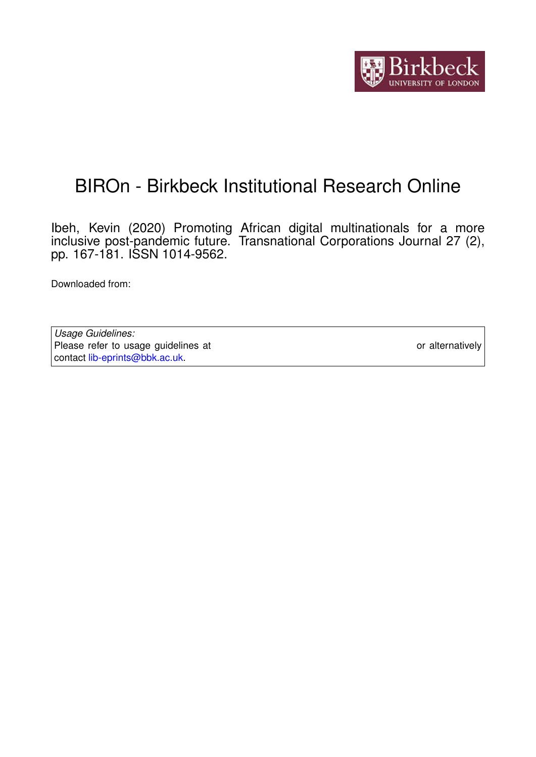

# BIROn - Birkbeck Institutional Research Online

Ibeh, Kevin (2020) Promoting African digital multinationals for a more inclusive post-pandemic future. Transnational Corporations Journal 27 (2), pp. 167-181. ISSN 1014-9562.

Downloaded from: <https://eprints.bbk.ac.uk/id/eprint/40924/>

*Usage Guidelines:* Please refer to usage guidelines at <https://eprints.bbk.ac.uk/policies.html> or alternatively contact [lib-eprints@bbk.ac.uk.](mailto:lib-eprints@bbk.ac.uk)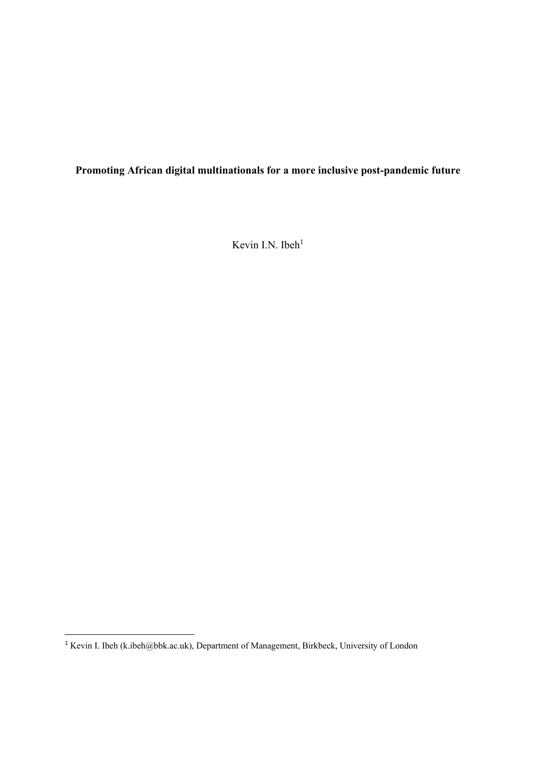**Promoting African digital multinationals for a more inclusive post-pandemic future**

Kevin I.N. Ibeh<sup>1</sup>

**.** 

<sup>&</sup>lt;sup>1</sup> Kevin I. Ibeh [\(k.ibeh@bbk.ac.uk\)](mailto:k.ibeh@bbk.ac.uk), Department of Management, Birkbeck, University of London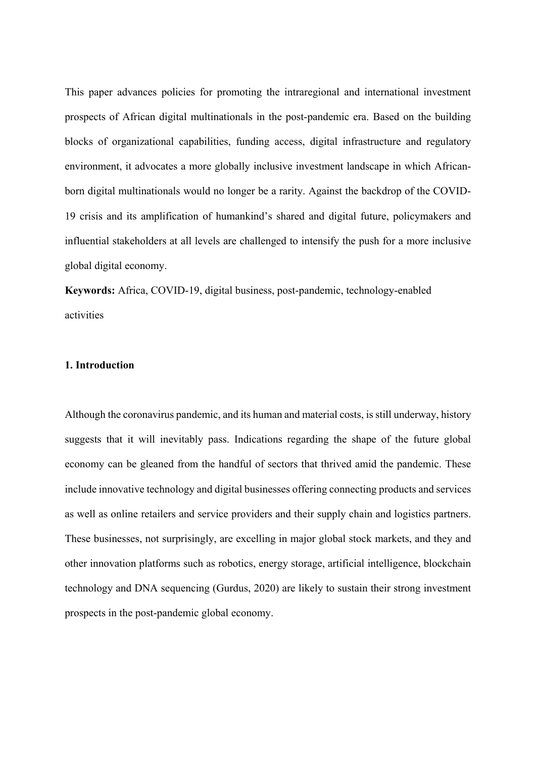This paper advances policies for promoting the intraregional and international investment prospects of African digital multinationals in the post-pandemic era. Based on the building blocks of organizational capabilities, funding access, digital infrastructure and regulatory environment, it advocates a more globally inclusive investment landscape in which Africanborn digital multinationals would no longer be a rarity. Against the backdrop of the COVID-19 crisis and its amplification of humankind's shared and digital future, policymakers and influential stakeholders at all levels are challenged to intensify the push for a more inclusive global digital economy.

**Keywords:** Africa, COVID-19, digital business, post-pandemic, technology-enabled activities

#### **1. Introduction**

Although the coronavirus pandemic, and its human and material costs, is still underway, history suggests that it will inevitably pass. Indications regarding the shape of the future global economy can be gleaned from the handful of sectors that thrived amid the pandemic. These include innovative technology and digital businesses offering connecting products and services as well as online retailers and service providers and their supply chain and logistics partners. These businesses, not surprisingly, are excelling in major global stock markets, and they and other innovation platforms such as robotics, energy storage, artificial intelligence, blockchain technology and DNA sequencing (Gurdus, 2020) are likely to sustain their strong investment prospects in the post-pandemic global economy.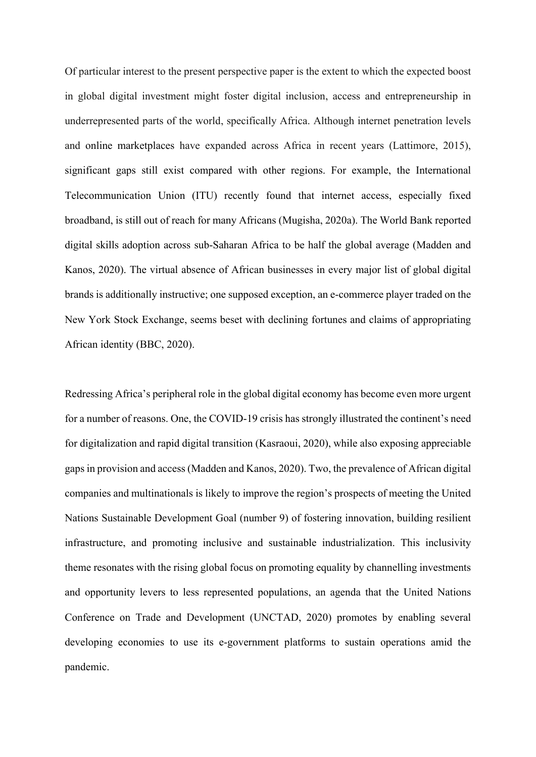Of particular interest to the present perspective paper is the extent to which the expected boost in global digital investment might foster digital inclusion, access and entrepreneurship in underrepresented parts of the world, specifically Africa. Although internet penetration levels and online marketplaces have expanded across Africa in recent years (Lattimore, 2015), significant gaps still exist compared with other regions. For example, the International Telecommunication Union (ITU) recently found that internet access, especially fixed broadband, is still out of reach for many Africans (Mugisha, 2020a). The World Bank reported digital skills adoption across sub-Saharan Africa to be half the global average (Madden and Kanos, 2020). The virtual absence of African businesses in every major list of global digital brands is additionally instructive; one supposed exception, an e-commerce player traded on the New York Stock Exchange, seems beset with declining fortunes and claims of appropriating African identity (BBC, 2020).

Redressing Africa's peripheral role in the global digital economy has become even more urgent for a number of reasons. One, the COVID-19 crisis has strongly illustrated the continent's need for digitalization and rapid digital transition (Kasraoui, 2020), while also exposing appreciable gaps in provision and access (Madden and Kanos, 2020). Two, the prevalence of African digital companies and multinationals is likely to improve the region's prospects of meeting the United Nations Sustainable Development Goal (number 9) of fostering innovation, building resilient infrastructure, and promoting inclusive and sustainable industrialization. This inclusivity theme resonates with the rising global focus on promoting equality by channelling investments and opportunity levers to less represented populations, an agenda that the United Nations Conference on Trade and Development (UNCTAD, 2020) promotes by enabling several developing economies to use its e-government platforms to sustain operations amid the pandemic.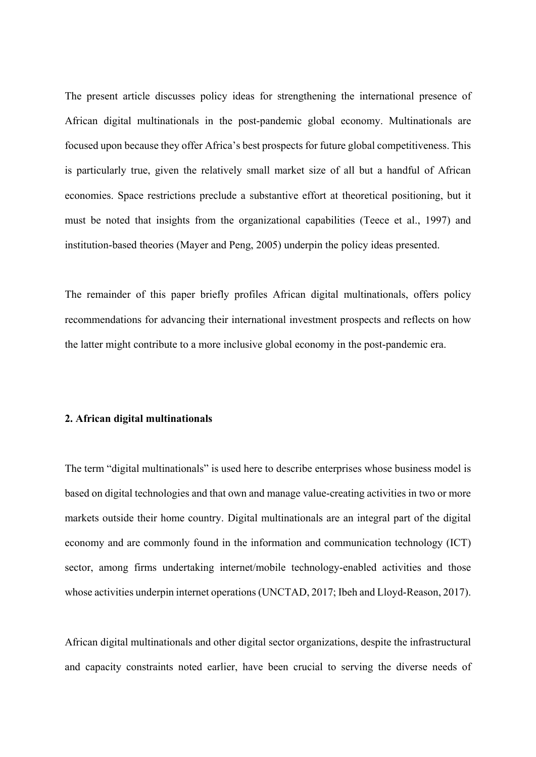The present article discusses policy ideas for strengthening the international presence of African digital multinationals in the post-pandemic global economy. Multinationals are focused upon because they offer Africa's best prospects for future global competitiveness. This is particularly true, given the relatively small market size of all but a handful of African economies. Space restrictions preclude a substantive effort at theoretical positioning, but it must be noted that insights from the organizational capabilities (Teece et al., 1997) and institution-based theories (Mayer and Peng, 2005) underpin the policy ideas presented.

The remainder of this paper briefly profiles African digital multinationals, offers policy recommendations for advancing their international investment prospects and reflects on how the latter might contribute to a more inclusive global economy in the post-pandemic era.

#### **2. African digital multinationals**

The term "digital multinationals" is used here to describe enterprises whose business model is based on digital technologies and that own and manage value-creating activities in two or more markets outside their home country. Digital multinationals are an integral part of the digital economy and are commonly found in the information and communication technology (ICT) sector, among firms undertaking internet/mobile technology-enabled activities and those whose activities underpin internet operations (UNCTAD, 2017; Ibeh and Lloyd-Reason, 2017).

African digital multinationals and other digital sector organizations, despite the infrastructural and capacity constraints noted earlier, have been crucial to serving the diverse needs of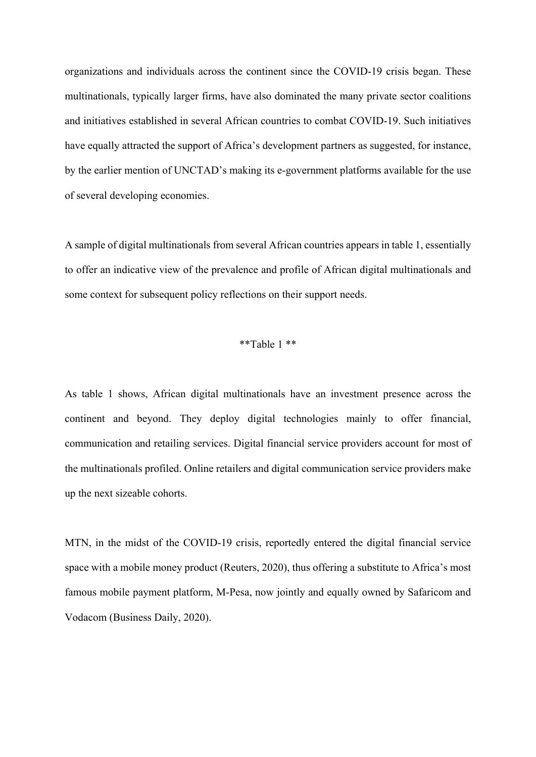organizations and individuals across the continent since the COVID-19 crisis began. These multinationals, typically larger firms, have also dominated the many private sector coalitions and initiatives established in several African countries to combat COVID-19. Such initiatives have equally attracted the support of Africa's development partners as suggested, for instance, by the earlier mention of UNCTAD's making its e-government platforms available for the use of several developing economies.

A sample of digital multinationals from several African countries appears in table 1, essentially to offer an indicative view of the prevalence and profile of African digital multinationals and some context for subsequent policy reflections on their support needs.

#### \*\*Table 1 \*\*

As table 1 shows, African digital multinationals have an investment presence across the continent and beyond. They deploy digital technologies mainly to offer financial, communication and retailing services. Digital financial service providers account for most of the multinationals profiled. Online retailers and digital communication service providers make up the next sizeable cohorts.

MTN, in the midst of the COVID-19 crisis, reportedly entered the digital financial service space with a mobile money product (Reuters, 2020), thus offering a substitute to Africa's most famous mobile payment platform, M-Pesa, now jointly and equally owned by Safaricom and Vodacom (Business Daily, 2020).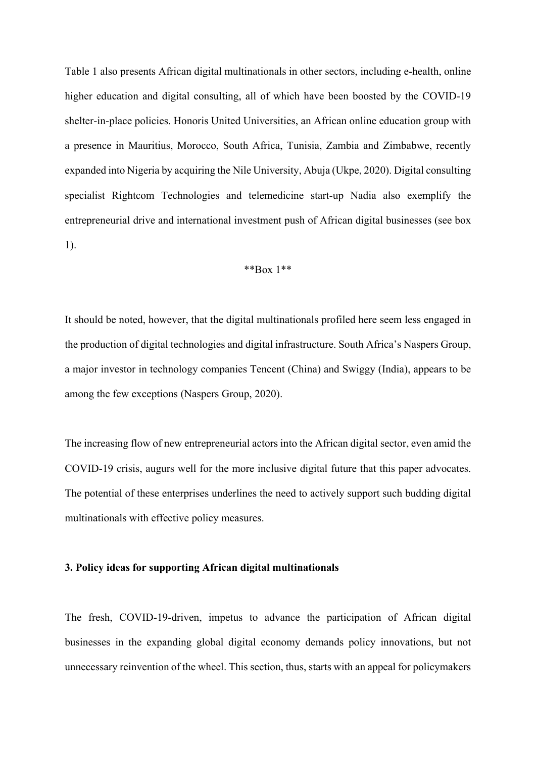Table 1 also presents African digital multinationals in other sectors, including e-health, online higher education and digital consulting, all of which have been boosted by the COVID-19 shelter-in-place policies. Honoris United Universities, an African online education group with a presence in Mauritius, Morocco, South Africa, Tunisia, Zambia and Zimbabwe, recently expanded into Nigeria by acquiring the Nile University, Abuja (Ukpe, 2020). Digital consulting specialist Rightcom Technologies and telemedicine start-up Nadia also exemplify the entrepreneurial drive and international investment push of African digital businesses (see box 1).

#### \*\*Box 1\*\*

It should be noted, however, that the digital multinationals profiled here seem less engaged in the production of digital technologies and digital infrastructure. South Africa's Naspers Group, a major investor in technology companies Tencent (China) and Swiggy (India), appears to be among the few exceptions (Naspers Group, 2020).

The increasing flow of new entrepreneurial actors into the African digital sector, even amid the COVID-19 crisis, augurs well for the more inclusive digital future that this paper advocates. The potential of these enterprises underlines the need to actively support such budding digital multinationals with effective policy measures.

#### **3. Policy ideas for supporting African digital multinationals**

The fresh, COVID-19-driven, impetus to advance the participation of African digital businesses in the expanding global digital economy demands policy innovations, but not unnecessary reinvention of the wheel. This section, thus, starts with an appeal for policymakers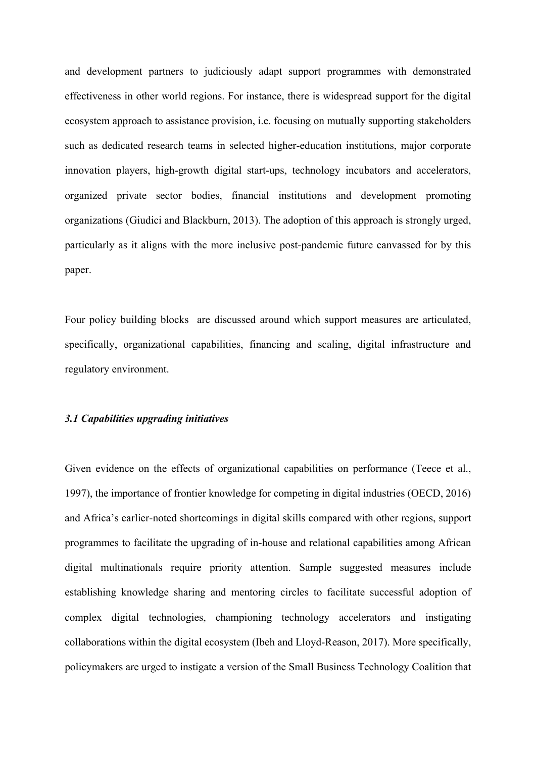and development partners to judiciously adapt support programmes with demonstrated effectiveness in other world regions. For instance, there is widespread support for the digital ecosystem approach to assistance provision, i.e. focusing on mutually supporting stakeholders such as dedicated research teams in selected higher-education institutions, major corporate innovation players, high-growth digital start-ups, technology incubators and accelerators, organized private sector bodies, financial institutions and development promoting organizations (Giudici and Blackburn, 2013). The adoption of this approach is strongly urged, particularly as it aligns with the more inclusive post-pandemic future canvassed for by this paper.

Four policy building blocks are discussed around which support measures are articulated, specifically, organizational capabilities, financing and scaling, digital infrastructure and regulatory environment.

#### *3.1 Capabilities upgrading initiatives*

Given evidence on the effects of organizational capabilities on performance (Teece et al., 1997), the importance of frontier knowledge for competing in digital industries (OECD, 2016) and Africa's earlier-noted shortcomings in digital skills compared with other regions, support programmes to facilitate the upgrading of in-house and relational capabilities among African digital multinationals require priority attention. Sample suggested measures include establishing knowledge sharing and mentoring circles to facilitate successful adoption of complex digital technologies, championing technology accelerators and instigating collaborations within the digital ecosystem (Ibeh and Lloyd-Reason, 2017). More specifically, policymakers are urged to instigate a version of the Small Business Technology Coalition that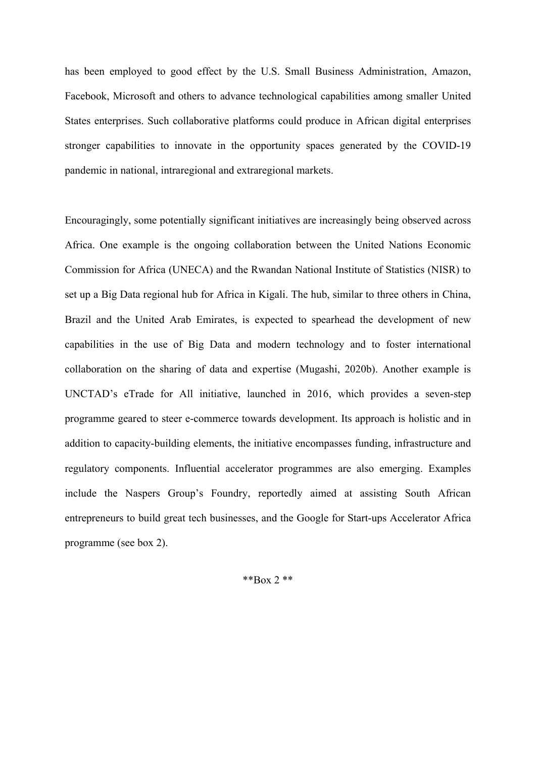has been employed to good effect by the U.S. Small Business Administration, Amazon, Facebook, Microsoft and others to advance technological capabilities among smaller United States enterprises. Such collaborative platforms could produce in African digital enterprises stronger capabilities to innovate in the opportunity spaces generated by the COVID-19 pandemic in national, intraregional and extraregional markets.

Encouragingly, some potentially significant initiatives are increasingly being observed across Africa. One example is the ongoing collaboration between the United Nations Economic Commission for Africa (UNECA) and the Rwandan National Institute of Statistics (NISR) to set up a Big Data regional hub for Africa in Kigali. The hub, similar to three others in China, Brazil and the United Arab Emirates, is expected to spearhead the development of new capabilities in the use of Big Data and modern technology and to foster international collaboration on the sharing of data and expertise (Mugashi, 2020b). Another example is UNCTAD's eTrade for All initiative, launched in 2016, which provides a seven-step programme geared to steer e-commerce towards development. Its approach is holistic and in addition to capacity-building elements, the initiative encompasses funding, infrastructure and regulatory components. Influential accelerator programmes are also emerging. Examples include the Naspers Group's Foundry, reportedly aimed at assisting South African entrepreneurs to build great tech businesses, and the Google for Start-ups Accelerator Africa programme (see box 2).

\*\*Box 2 \*\*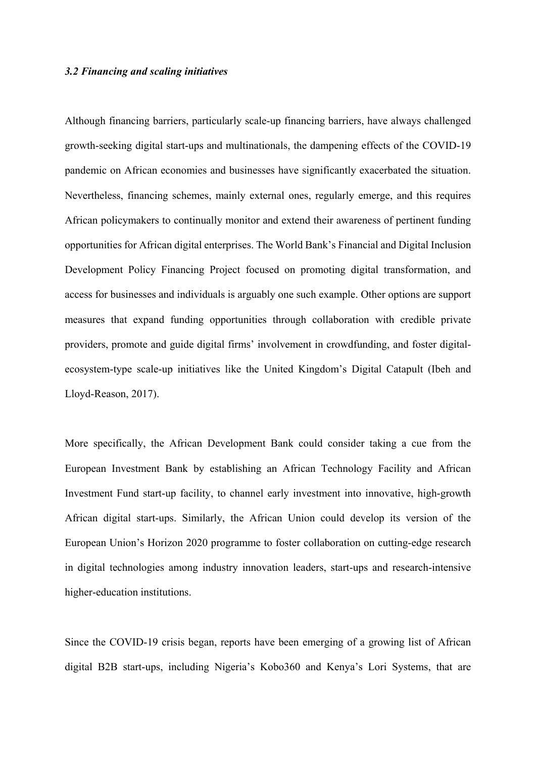#### *3.2 Financing and scaling initiatives*

Although financing barriers, particularly scale-up financing barriers, have always challenged growth-seeking digital start-ups and multinationals, the dampening effects of the COVID-19 pandemic on African economies and businesses have significantly exacerbated the situation. Nevertheless, financing schemes, mainly external ones, regularly emerge, and this requires African policymakers to continually monitor and extend their awareness of pertinent funding opportunities for African digital enterprises. The World Bank's Financial and Digital Inclusion Development Policy Financing Project focused on promoting digital transformation, and access for businesses and individuals is arguably one such example. Other options are support measures that expand funding opportunities through collaboration with credible private providers, promote and guide digital firms' involvement in crowdfunding, and foster digitalecosystem-type scale-up initiatives like the United Kingdom's Digital Catapult (Ibeh and Lloyd-Reason, 2017).

More specifically, the African Development Bank could consider taking a cue from the European Investment Bank by establishing an African Technology Facility and African Investment Fund start-up facility, to channel early investment into innovative, high-growth African digital start-ups. Similarly, the African Union could develop its version of the European Union's Horizon 2020 programme to foster collaboration on cutting-edge research in digital technologies among industry innovation leaders, start-ups and research-intensive higher-education institutions.

Since the COVID-19 crisis began, reports have been emerging of a growing list of African digital B2B start-ups, including Nigeria's Kobo360 and Kenya's Lori Systems, that are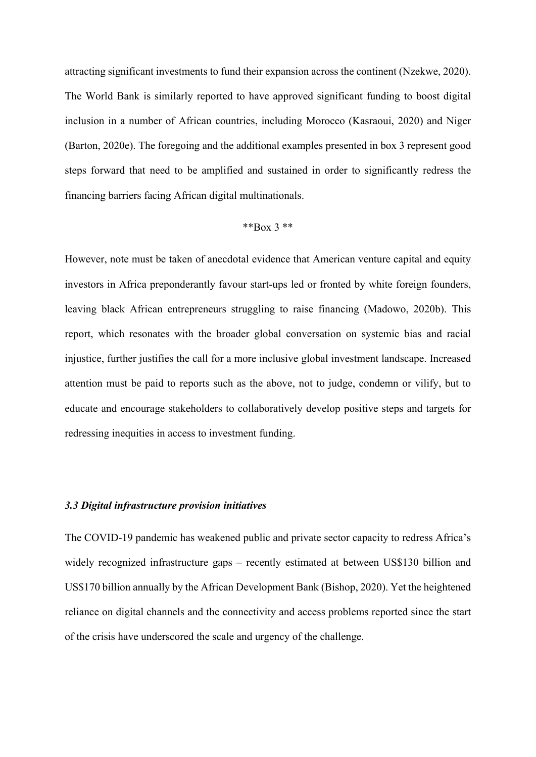attracting significant investments to fund their expansion across the continent (Nzekwe, 2020). The World Bank is similarly reported to have approved significant funding to boost digital inclusion in a number of African countries, including Morocco (Kasraoui, 2020) and Niger (Barton, 2020e). The foregoing and the additional examples presented in box 3 represent good steps forward that need to be amplified and sustained in order to significantly redress the financing barriers facing African digital multinationals.

#### \*\* $Box\ 3$ \*\*

However, note must be taken of anecdotal evidence that American venture capital and equity investors in Africa preponderantly favour start-ups led or fronted by white foreign founders, leaving black African entrepreneurs struggling to raise financing (Madowo, 2020b). This report, which resonates with the broader global conversation on systemic bias and racial injustice, further justifies the call for a more inclusive global investment landscape. Increased attention must be paid to reports such as the above, not to judge, condemn or vilify, but to educate and encourage stakeholders to collaboratively develop positive steps and targets for redressing inequities in access to investment funding.

#### *3.3 Digital infrastructure provision initiatives*

The COVID-19 pandemic has weakened public and private sector capacity to redress Africa's widely recognized infrastructure gaps – recently estimated at between US\$130 billion and US\$170 billion annually by the African Development Bank (Bishop, 2020). Yet the heightened reliance on digital channels and the connectivity and access problems reported since the start of the crisis have underscored the scale and urgency of the challenge.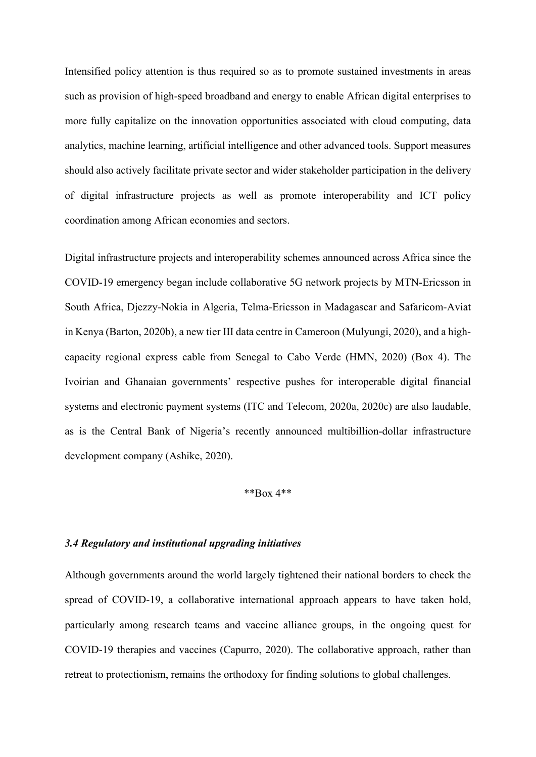Intensified policy attention is thus required so as to promote sustained investments in areas such as provision of high-speed broadband and energy to enable African digital enterprises to more fully capitalize on the innovation opportunities associated with cloud computing, data analytics, machine learning, artificial intelligence and other advanced tools. Support measures should also actively facilitate private sector and wider stakeholder participation in the delivery of digital infrastructure projects as well as promote interoperability and ICT policy coordination among African economies and sectors.

Digital infrastructure projects and interoperability schemes announced across Africa since the COVID-19 emergency began include collaborative 5G network projects by MTN-Ericsson in South Africa, Djezzy-Nokia in Algeria, Telma-Ericsson in Madagascar and Safaricom-Aviat in Kenya (Barton, 2020b), a new tier III data centre in Cameroon (Mulyungi, 2020), and a highcapacity regional express cable from Senegal to Cabo Verde (HMN, 2020) (Box 4). The Ivoirian and Ghanaian governments' respective pushes for interoperable digital financial systems and electronic payment systems (ITC and Telecom, 2020a, 2020c) are also laudable, as is the Central Bank of Nigeria's recently announced multibillion-dollar infrastructure development company (Ashike, 2020).

#### \*\*Box 4\*\*

#### *3.4 Regulatory and institutional upgrading initiatives*

Although governments around the world largely tightened their national borders to check the spread of COVID-19, a collaborative international approach appears to have taken hold, particularly among research teams and vaccine alliance groups, in the ongoing quest for COVID-19 therapies and vaccines (Capurro, 2020). The collaborative approach, rather than retreat to protectionism, remains the orthodoxy for finding solutions to global challenges.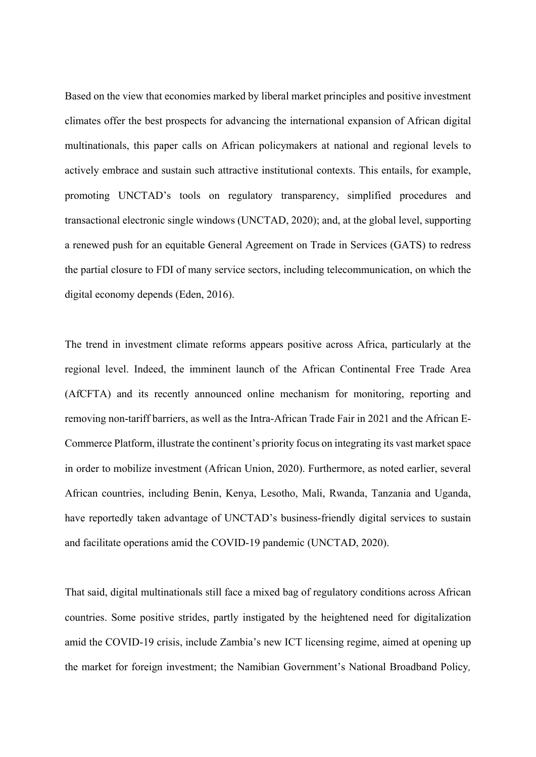Based on the view that economies marked by liberal market principles and positive investment climates offer the best prospects for advancing the international expansion of African digital multinationals, this paper calls on African policymakers at national and regional levels to actively embrace and sustain such attractive institutional contexts. This entails, for example, promoting UNCTAD's tools on regulatory transparency, simplified procedures and transactional electronic single windows (UNCTAD, 2020); and, at the global level, supporting a renewed push for an equitable General Agreement on Trade in Services (GATS) to redress the partial closure to FDI of many service sectors, including telecommunication, on which the digital economy depends (Eden, 2016).

The trend in investment climate reforms appears positive across Africa, particularly at the regional level. Indeed, the imminent launch of the African Continental Free Trade Area (AfCFTA) and its recently announced online mechanism for monitoring, reporting and removing non-tariff barriers, as well as the Intra-African Trade Fair in 2021 and the African E-Commerce Platform, illustrate the continent's priority focus on integrating its vast market space in order to mobilize investment (African Union, 2020). Furthermore, as noted earlier, several African countries, including Benin, Kenya, Lesotho, Mali, Rwanda, Tanzania and Uganda, have reportedly taken advantage of UNCTAD's business-friendly digital services to sustain and facilitate operations amid the COVID-19 pandemic (UNCTAD, 2020).

That said, digital multinationals still face a mixed bag of regulatory conditions across African countries. Some positive strides, partly instigated by the heightened need for digitalization amid the COVID-19 crisis, include Zambia's new ICT licensing regime, aimed at opening up the market for foreign investment; the Namibian Government's National Broadband Policy*,*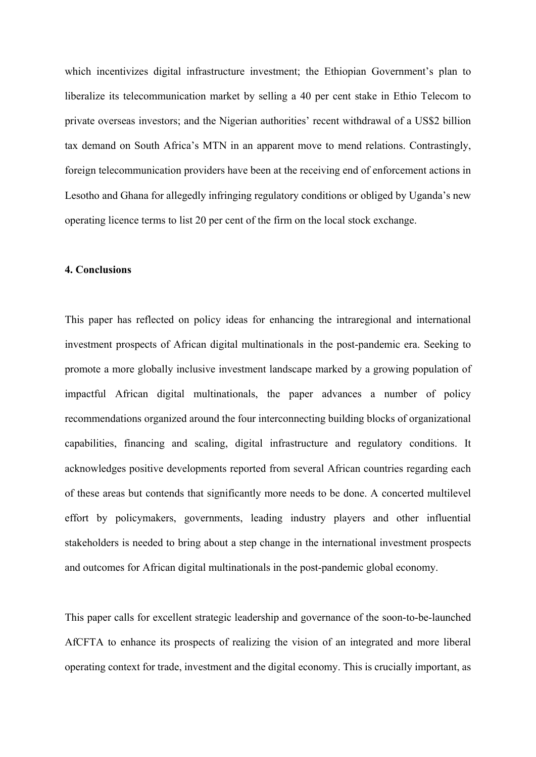which incentivizes digital infrastructure investment; the Ethiopian Government's plan to liberalize its telecommunication market by selling a 40 per cent stake in Ethio Telecom to private overseas investors; and the Nigerian authorities' recent withdrawal of a US\$2 billion tax demand on South Africa's MTN in an apparent move to mend relations. Contrastingly, foreign telecommunication providers have been at the receiving end of enforcement actions in Lesotho and Ghana for allegedly infringing regulatory conditions or obliged by Uganda's new operating licence terms to list 20 per cent of the firm on the local stock exchange.

#### **4. Conclusions**

This paper has reflected on policy ideas for enhancing the intraregional and international investment prospects of African digital multinationals in the post-pandemic era. Seeking to promote a more globally inclusive investment landscape marked by a growing population of impactful African digital multinationals, the paper advances a number of policy recommendations organized around the four interconnecting building blocks of organizational capabilities, financing and scaling, digital infrastructure and regulatory conditions. It acknowledges positive developments reported from several African countries regarding each of these areas but contends that significantly more needs to be done. A concerted multilevel effort by policymakers, governments, leading industry players and other influential stakeholders is needed to bring about a step change in the international investment prospects and outcomes for African digital multinationals in the post-pandemic global economy.

This paper calls for excellent strategic leadership and governance of the soon-to-be-launched AfCFTA to enhance its prospects of realizing the vision of an integrated and more liberal operating context for trade, investment and the digital economy. This is crucially important, as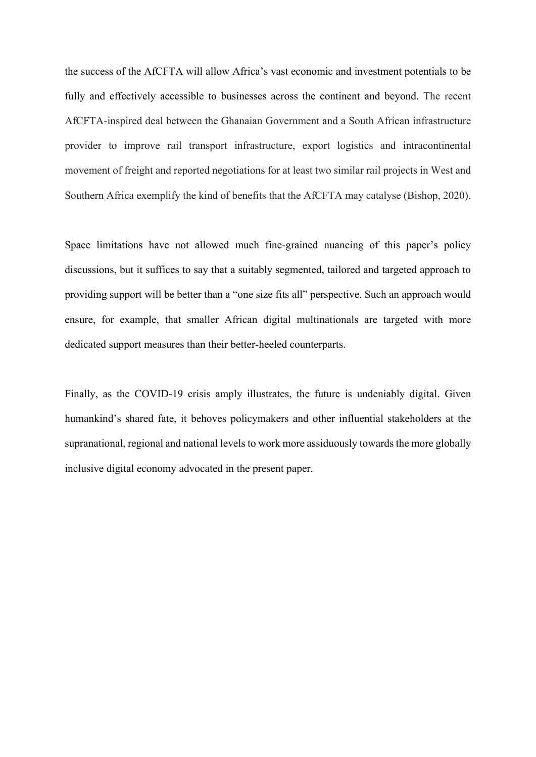the success of the AfCFTA will allow Africa's vast economic and investment potentials to be fully and effectively accessible to businesses across the continent and beyond. The recent AfCFTA-inspired deal between the Ghanaian Government and a South African infrastructure provider to improve rail transport infrastructure, export logistics and intracontinental movement of freight and reported negotiations for at least two similar rail projects in West and Southern Africa exemplify the kind of benefits that the AfCFTA may catalyse (Bishop, 2020).

Space limitations have not allowed much fine-grained nuancing of this paper's policy discussions, but it suffices to say that a suitably segmented, tailored and targeted approach to providing support will be better than a "one size fits all" perspective. Such an approach would ensure, for example, that smaller African digital multinationals are targeted with more dedicated support measures than their better-heeled counterparts.

Finally, as the COVID-19 crisis amply illustrates, the future is undeniably digital. Given humankind's shared fate, it behoves policymakers and other influential stakeholders at the supranational, regional and national levels to work more assiduously towards the more globally inclusive digital economy advocated in the present paper.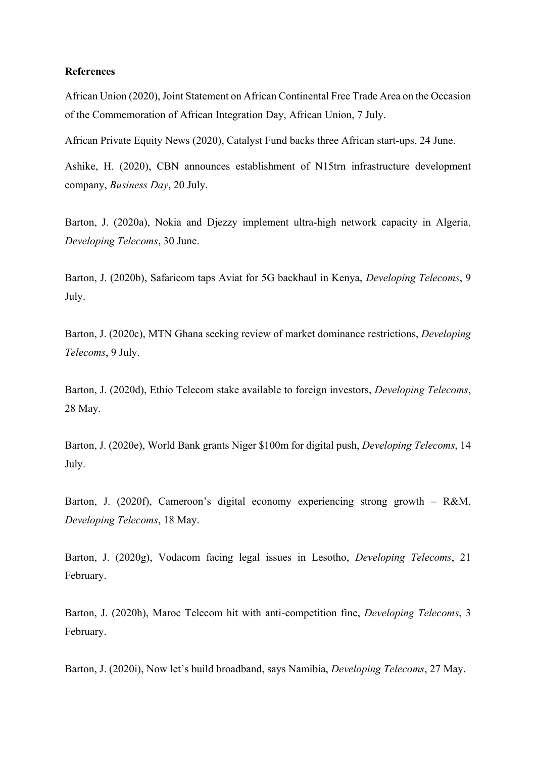#### **References**

African Union (2020), Joint Statement on African Continental Free Trade Area on the Occasion of the Commemoration of African Integration Day, African Union, 7 July.

African Private Equity News (2020), Catalyst Fund backs three African start-ups, 24 June.

Ashike, H. (2020), CBN announces establishment of N15trn infrastructure development company, *Business Day*, 20 July.

Barton, J. (2020a), Nokia and Djezzy implement ultra-high network capacity in Algeria, *Developing Telecoms*, 30 June.

Barton, J. (2020b), Safaricom taps Aviat for 5G backhaul in Kenya, *Developing Telecoms*, 9 July.

Barton, J. (2020c), MTN Ghana seeking review of market dominance restrictions, *Developing Telecoms*, 9 July.

Barton, J. (2020d), Ethio Telecom stake available to foreign investors, *Developing Telecoms*, 28 May.

Barton, J. (2020e), World Bank grants Niger \$100m for digital push, *Developing Telecoms*, 14 July.

Barton, J. (2020f), Cameroon's digital economy experiencing strong growth – R&M, *Developing Telecoms*, 18 May.

Barton, J. (2020g), Vodacom facing legal issues in Lesotho, *Developing Telecoms*, 21 February.

Barton, J. (2020h), Maroc Telecom hit with anti-competition fine, *Developing Telecoms*, 3 February.

Barton, J. (2020i), Now let's build broadband, says Namibia, *Developing Telecoms*, 27 May.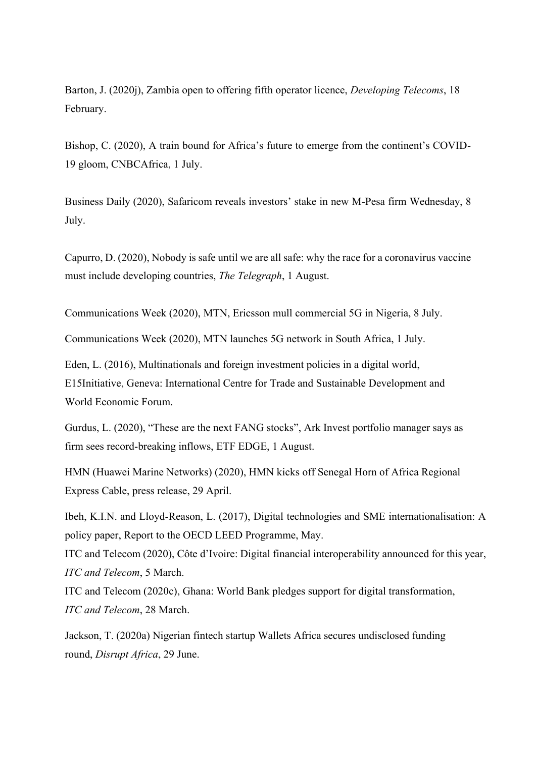Barton, J. (2020j), Zambia open to offering fifth operator licence, *Developing Telecoms*, 18 February.

Bishop, C. (2020), A train bound for Africa's future to emerge from the continent's COVID-19 gloom, CNBCAfrica, 1 July.

Business Daily (2020), Safaricom reveals investors' stake in new M-Pesa firm Wednesday, 8 July.

Capurro, D. (2020), Nobody is safe until we are all safe: why the race for a coronavirus vaccine must include developing countries, *The Telegraph*, 1 August.

Communications Week (2020), MTN, Ericsson mull commercial 5G in Nigeria, 8 July.

Communications Week (2020), MTN launches 5G network in South Africa, 1 July.

Eden, L. (2016), Multinationals and foreign investment policies in a digital world, E15Initiative, Geneva: International Centre for Trade and Sustainable Development and World Economic Forum.

Gurdus, L. (2020), "These are the next FANG stocks", Ark Invest portfolio manager says as firm sees record-breaking inflows, ETF EDGE, 1 August.

HMN (Huawei Marine Networks) (2020), HMN kicks off Senegal Horn of Africa Regional Express Cable, press release, 29 April.

Ibeh, K.I.N. and Lloyd-Reason, L. (2017), Digital technologies and SME internationalisation: A policy paper, Report to the OECD LEED Programme, May.

ITC and Telecom (2020), Côte d'Ivoire: Digital financial interoperability announced for this year, *ITC and Telecom*, 5 March.

ITC and Telecom (2020c), Ghana: World Bank pledges support for digital transformation, *ITC and Telecom*, 28 March.

Jackson, T. (2020a) Nigerian fintech startup Wallets Africa secures undisclosed funding round, *Disrupt Africa*, 29 June.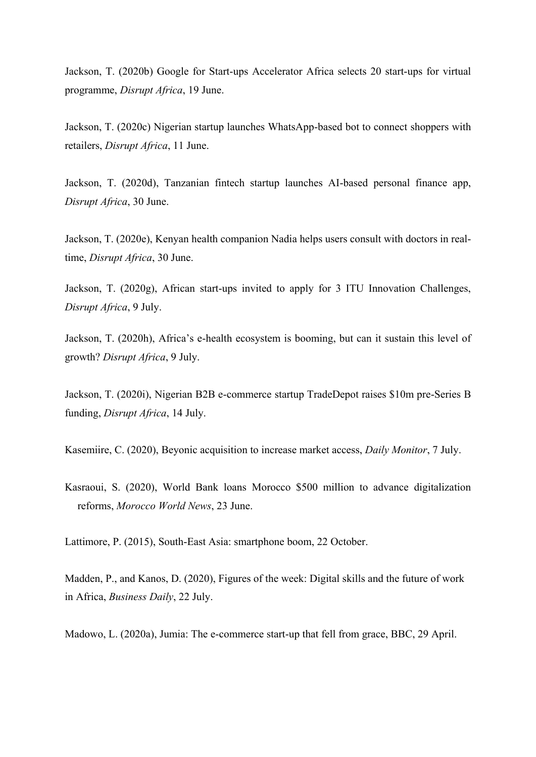Jackson, T. (2020b) Google for Start-ups Accelerator Africa selects 20 start-ups for virtual programme, *Disrupt Africa*, 19 June.

Jackson, T. (2020c) Nigerian startup launches WhatsApp-based bot to connect shoppers with retailers, *Disrupt Africa*, 11 June.

Jackson, T. (2020d), Tanzanian fintech startup launches AI-based personal finance app, *Disrupt Africa*, 30 June.

Jackson, T. (2020e), Kenyan health companion Nadia helps users consult with doctors in realtime, *Disrupt Africa*, 30 June.

Jackson, T. (2020g), African start-ups invited to apply for 3 ITU Innovation Challenges, *Disrupt Africa*, 9 July.

Jackson, T. (2020h), Africa's e-health ecosystem is booming, but can it sustain this level of growth? *Disrupt Africa*, 9 July.

Jackson, T. (2020i), Nigerian B2B e-commerce startup TradeDepot raises \$10m pre-Series B funding, *Disrupt Africa*, 14 July.

Kasemiire, C. (2020), Beyonic acquisition to increase market access, *Daily Monitor*, 7 July.

Kasraoui, S. (2020), World Bank loans Morocco \$500 million to advance digitalization reforms, *Morocco World News*, 23 June.

Lattimore, P. (2015), South-East Asia: smartphone boom, 22 October.

Madden, P., and Kanos, D. (2020), Figures of the week: Digital skills and the future of work in Africa, *Business Daily*, 22 July.

Madowo, L. (2020a), Jumia: The e-commerce start-up that fell from grace, BBC, 29 April.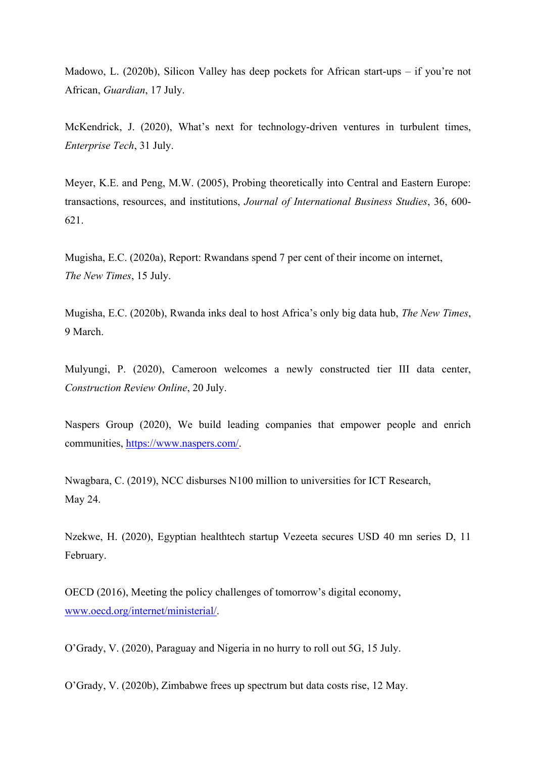Madowo, L. (2020b), Silicon Valley has deep pockets for African start-ups – if you're not African, *Guardian*, 17 July.

McKendrick, J. (2020), What's next for technology-driven ventures in turbulent times, *Enterprise Tech*, 31 July.

Meyer, K.E. and Peng, M.W. (2005), Probing theoretically into Central and Eastern Europe: transactions, resources, and institutions, *Journal of International Business Studies*, 36, 600- 621.

Mugisha, E.C. (2020a), Report: Rwandans spend 7 per cent of their income on internet, *The New Times*, 15 July.

Mugisha, E.C. (2020b), Rwanda inks deal to host Africa's only big data hub, *The New Times*, 9 March.

Mulyungi, P. (2020), Cameroon welcomes a newly constructed tier III data center, *Construction Review Online*, 20 July.

Naspers Group (2020), We build leading companies that empower people and enrich communities, [https://www.naspers.com/.](https://www.naspers.com/)

Nwagbara, C. (2019), NCC disburses N100 million to universities for ICT Research, May 24.

Nzekwe, H. (2020), Egyptian healthtech startup Vezeeta secures USD 40 mn series D, 11 February.

OECD (2016), Meeting the policy challenges of tomorrow's digital economy, [www.oecd.org/internet/ministerial/.](http://www.oecd.org/internet/ministerial/)

O'Grady, V. (2020), Paraguay and Nigeria in no hurry to roll out 5G, 15 July.

O'Grady, V. (2020b), Zimbabwe frees up spectrum but data costs rise, 12 May.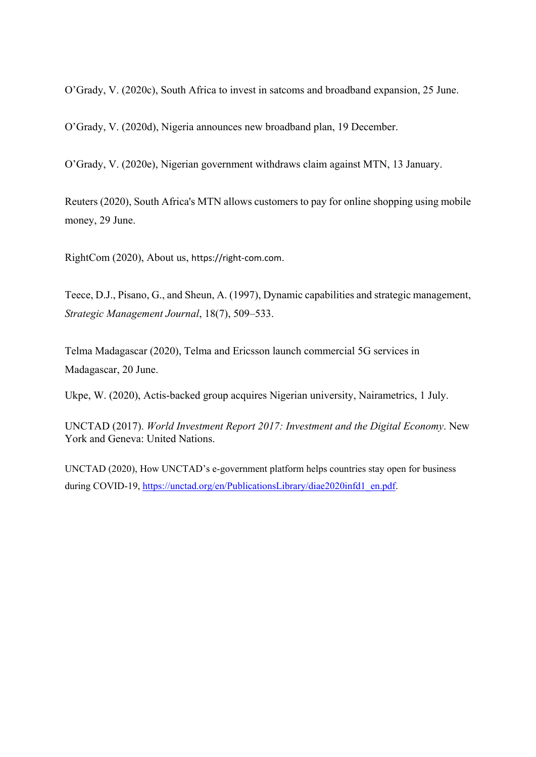O'Grady, V. (2020c), South Africa to invest in satcoms and broadband expansion, 25 June.

O'Grady, V. (2020d), Nigeria announces new broadband plan, 19 December.

O'Grady, V. (2020e), Nigerian government withdraws claim against MTN, 13 January.

Reuters (2020), South Africa's MTN allows customers to pay for online shopping using mobile money, 29 June.

RightCom (2020), About us, https://right-com.com.

Teece, D.J., Pisano, G., and Sheun, A. (1997), Dynamic capabilities and strategic management, *Strategic Management Journal*, 18(7), 509–533.

Telma Madagascar (2020), Telma and Ericsson launch commercial 5G services in Madagascar, 20 June.

Ukpe, W. (2020), Actis-backed group acquires Nigerian university, Nairametrics, 1 July.

UNCTAD (2017). *World Investment Report 2017: Investment and the Digital Economy*. New York and Geneva: United Nations.

UNCTAD (2020), How UNCTAD's e-government platform helps countries stay open for business during COVID-19, [https://unctad.org/en/PublicationsLibrary/diae2020infd1\\_en.pdf.](https://unctad.org/en/PublicationsLibrary/diae2020infd1_en.pdf)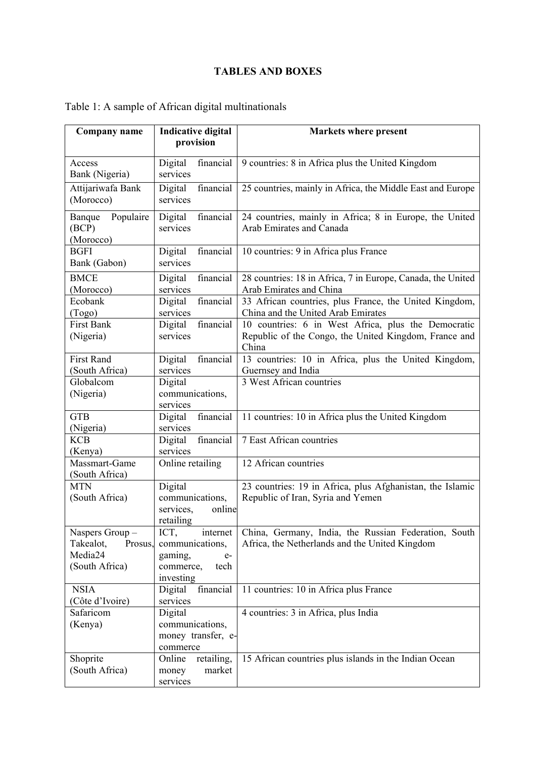## **TABLES AND BOXES**

| <b>Company name</b>      | <b>Indicative digital</b>         | <b>Markets where present</b>                                   |
|--------------------------|-----------------------------------|----------------------------------------------------------------|
|                          | provision                         |                                                                |
| Access                   | Digital<br>financial              | 9 countries: 8 in Africa plus the United Kingdom               |
| Bank (Nigeria)           | services                          |                                                                |
| Attijariwafa Bank        | financial<br>Digital              | 25 countries, mainly in Africa, the Middle East and Europe     |
| (Morocco)                | services                          |                                                                |
| Populaire<br>Banque      | Digital<br>financial              | 24 countries, mainly in Africa; 8 in Europe, the United        |
| (BCP)                    | services                          | Arab Emirates and Canada                                       |
| (Morocco)                |                                   |                                                                |
| <b>BGFI</b>              | Digital<br>financial              | 10 countries: 9 in Africa plus France                          |
| Bank (Gabon)             | services                          |                                                                |
| <b>BMCE</b>              | financial<br>Digital              | 28 countries: 18 in Africa, 7 in Europe, Canada, the United    |
| (Morocco)                | services                          | Arab Emirates and China                                        |
| Ecobank                  | financial<br>Digital              | 33 African countries, plus France, the United Kingdom,         |
| (Togo)                   | services                          | China and the United Arab Emirates                             |
| <b>First Bank</b>        | financial<br>Digital<br>services  | 10 countries: 6 in West Africa, plus the Democratic            |
| (Nigeria)                |                                   | Republic of the Congo, the United Kingdom, France and<br>China |
| <b>First Rand</b>        | financial<br>Digital              | 13 countries: 10 in Africa, plus the United Kingdom,           |
| (South Africa)           | services                          | Guernsey and India                                             |
| Globalcom                | Digital                           | 3 West African countries                                       |
| (Nigeria)                | communications,                   |                                                                |
|                          | services                          |                                                                |
| <b>GTB</b>               | financial<br>Digital              | 11 countries: 10 in Africa plus the United Kingdom             |
| (Nigeria)                | services                          |                                                                |
| <b>KCB</b>               | financial<br>Digital              | 7 East African countries                                       |
| (Kenya)<br>Massmart-Game | services<br>Online retailing      | 12 African countries                                           |
| (South Africa)           |                                   |                                                                |
| <b>MTN</b>               | Digital                           | 23 countries: 19 in Africa, plus Afghanistan, the Islamic      |
| (South Africa)           | communications,                   | Republic of Iran, Syria and Yemen                              |
|                          | services,<br>online               |                                                                |
|                          | retailing                         |                                                                |
| Naspers Group-           | ICT,<br>internet                  | China, Germany, India, the Russian Federation, South           |
| Takealot,<br>Prosus.     | communications,                   | Africa, the Netherlands and the United Kingdom                 |
| Media24                  | gaming,<br>$e-$                   |                                                                |
| (South Africa)           | commerce,<br>tech                 |                                                                |
| <b>NSIA</b>              | investing<br>financial<br>Digital | 11 countries: 10 in Africa plus France                         |
| (Côte d'Ivoire)          | services                          |                                                                |
| Safaricom                | Digital                           | 4 countries: 3 in Africa, plus India                           |
| (Kenya)                  | communications,                   |                                                                |
|                          | money transfer, e-                |                                                                |
|                          | commerce                          |                                                                |
| Shoprite                 | Online<br>retailing,              | 15 African countries plus islands in the Indian Ocean          |
| (South Africa)           | market<br>money                   |                                                                |
|                          | services                          |                                                                |

## Table 1: A sample of African digital multinationals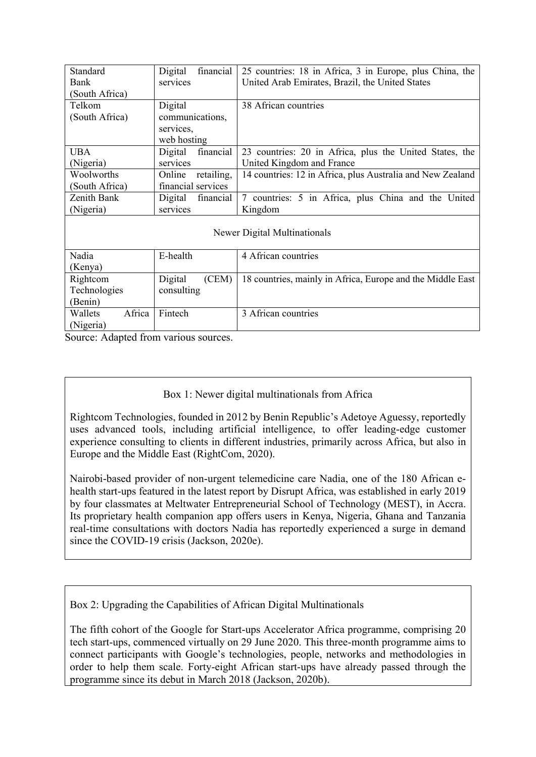| Standard                     | financial<br>Digital | 25 countries: 18 in Africa, 3 in Europe, plus China, the   |  |
|------------------------------|----------------------|------------------------------------------------------------|--|
| Bank                         | services             | United Arab Emirates, Brazil, the United States            |  |
| (South Africa)               |                      |                                                            |  |
| Telkom                       | Digital              | 38 African countries                                       |  |
| (South Africa)               | communications,      |                                                            |  |
|                              | services,            |                                                            |  |
|                              | web hosting          |                                                            |  |
| <b>UBA</b>                   | financial<br>Digital | 23 countries: 20 in Africa, plus the United States, the    |  |
| (Nigeria)                    | services             | United Kingdom and France                                  |  |
| Woolworths                   | retailing,<br>Online | 14 countries: 12 in Africa, plus Australia and New Zealand |  |
| (South Africa)               | financial services   |                                                            |  |
| Zenith Bank                  | Digital<br>financial | 7 countries: 5 in Africa, plus China and the United        |  |
| (Nigeria)                    | services             | Kingdom                                                    |  |
|                              |                      |                                                            |  |
| Newer Digital Multinationals |                      |                                                            |  |
|                              |                      |                                                            |  |
| Nadia                        | E-health             | 4 African countries                                        |  |
| (Kenya)                      |                      |                                                            |  |
| Rightcom                     | Digital<br>(CEM)     | 18 countries, mainly in Africa, Europe and the Middle East |  |
| Technologies                 | consulting           |                                                            |  |
| (Benin)                      |                      |                                                            |  |
| Africa<br>Wallets            | Fintech              | 3 African countries                                        |  |
| (Nigeria)                    |                      |                                                            |  |

Source: Adapted from various sources.

## Box 1: Newer digital multinationals from Africa

Rightcom Technologies, founded in 2012 by Benin Republic's Adetoye Aguessy, reportedly uses advanced tools, including artificial intelligence, to offer leading-edge customer experience consulting to clients in different industries, primarily across Africa, but also in Europe and the Middle East (RightCom, 2020).

Nairobi-based provider of non-urgent telemedicine care Nadia, one of the 180 African ehealth start-ups featured in the latest report by Disrupt Africa, was established in early 2019 by four classmates at Meltwater Entrepreneurial School of Technology (MEST), in Accra. Its proprietary health companion app offers users in Kenya, Nigeria, Ghana and Tanzania real-time consultations with doctors Nadia has reportedly experienced a surge in demand since the COVID-19 crisis (Jackson, 2020e).

Box 2: Upgrading the Capabilities of African Digital Multinationals

The fifth cohort of the Google for Start-ups Accelerator Africa programme, comprising 20 tech start-ups, commenced virtually on 29 June 2020. This three-month programme aims to connect participants with Google's technologies, people, networks and methodologies in order to help them scale. Forty-eight African start-ups have already passed through the programme since its debut in March 2018 (Jackson, 2020b).